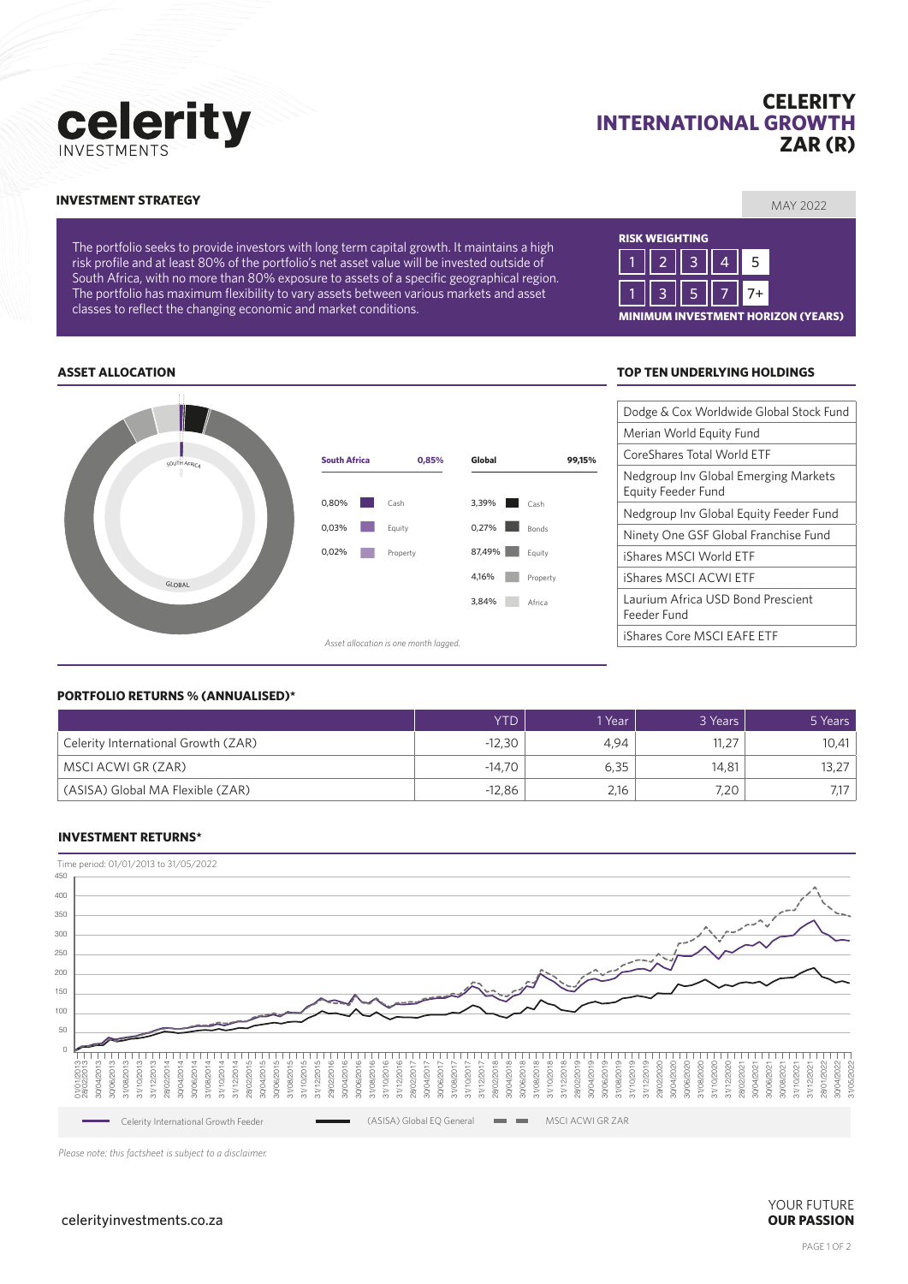# celerity

# **CELERITY INTERNATIONAL GROWTH ZAR (R)**

#### MAY 2022 **INVESTMENT STRATEGY**

The portfolio seeks to provide investors with long term capital growth. It maintains a high risk profile and at least 80% of the portfolio's net asset value will be invested outside of South Africa, with no more than 80% exposure to assets of a specific geographical region. The portfolio has maximum flexibility to vary assets between various markets and asset classes to reflect the changing economic and market conditions.

# **RISK WEIGHTING MINIMUM INVESTMENT HORIZON (YEARS)** 1 || 2 || 3 || 4 || 5 1 || 3 || 5 || 7 || 7+

#### **ASSET ALLOCATION TOP TEN UNDERLYING HOLDINGS**





#### **PORTFOLIO RETURNS % (ANNUALISED)\***

|                                     | YTD      | 1 Year | 3 Years | 5 Years |
|-------------------------------------|----------|--------|---------|---------|
| Celerity International Growth (ZAR) | $-12,30$ | 4.94   | 11,27   | 10,41   |
| MSCI ACWI GR (ZAR)                  | $-14.70$ | 6,35   | 14,81   | 13,27   |
| (ASISA) Global MA Flexible (ZAR)    | $-12,86$ | 2,16   | 7,20    |         |

#### **INVESTMENT RETURNS\***



*Please note: this factsheet is subject to a disclaimer.*

YOUR FUTURE celerityinvestments.co.za **OUR PASSION**